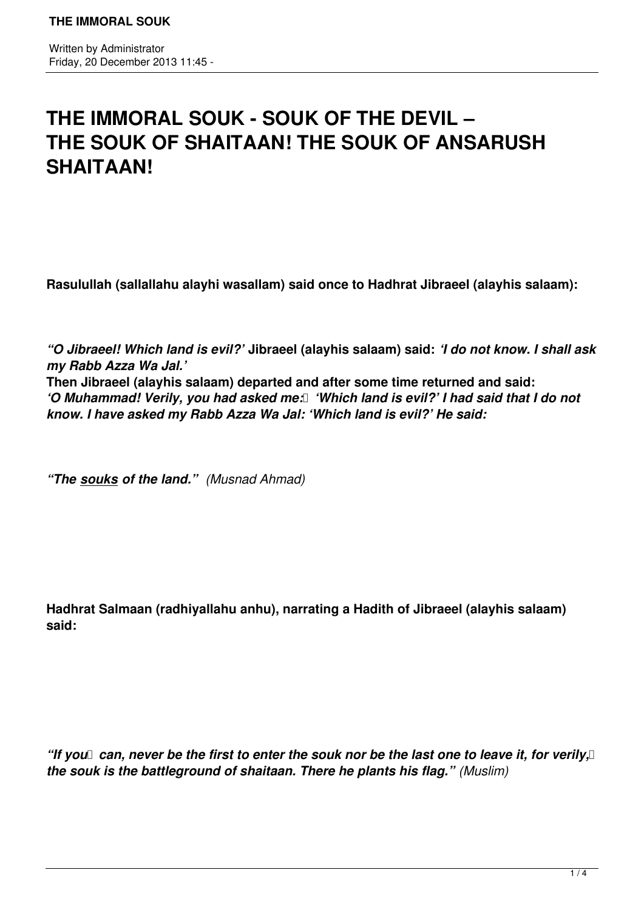## **THE IMMORAL SOUK - SOUK OF THE DEVIL – THE SOUK OF SHAITAAN! THE SOUK OF ANSARUSH SHAITAAN!**

**Rasulullah (sallallahu alayhi wasallam) said once to Hadhrat Jibraeel (alayhis salaam):**

*"O Jibraeel! Which land is evil?'* **Jibraeel (alayhis salaam) said:** *'I do not know. I shall ask my Rabb Azza Wa Jal.'*  **Then Jibraeel (alayhis salaam) departed and after some time returned and said:**  *'O Muhammad! Verily, you had asked me:* I 'Which land is evil?' I had said that I do not *know. I have asked my Rabb Azza Wa Jal: 'Which land is evil?' He said:* 

*"The souks of the land." (Musnad Ahmad)*

**Hadhrat Salmaan (radhiyallahu anhu), narrating a Hadith of Jibraeel (alayhis salaam) said:**

"If you can, never be the first to enter the souk nor be the last one to leave it, for verily, I *the souk is the battleground of shaitaan. There he plants his flag." (Muslim)*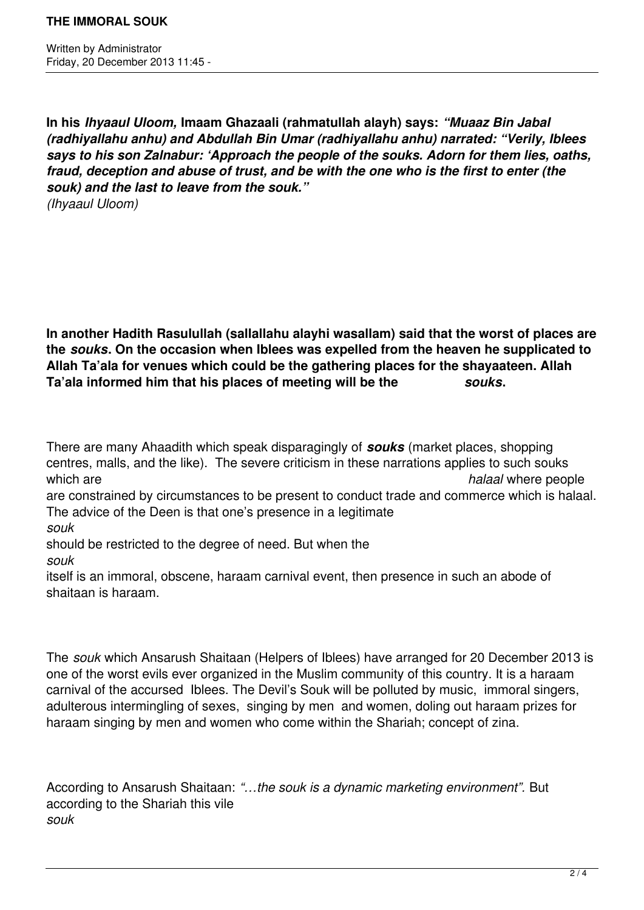**In his** *Ihyaaul Uloom,* **Imaam Ghazaali (rahmatullah alayh) says:** *"Muaaz Bin Jabal (radhiyallahu anhu) and Abdullah Bin Umar (radhiyallahu anhu) narrated: "Verily, Iblees says to his son Zalnabur: 'Approach the people of the souks. Adorn for them lies, oaths, fraud, deception and abuse of trust, and be with the one who is the first to enter (the souk) and the last to leave from the souk." (Ihyaaul Uloom)*

**In another Hadith Rasulullah (sallallahu alayhi wasallam) said that the worst of places are the** *souks***. On the occasion when Iblees was expelled from the heaven he supplicated to Allah Ta'ala for venues which could be the gathering places for the shayaateen. Allah Ta'ala informed him that his places of meeting will be the** *souks***.**

There are many Ahaadith which speak disparagingly of *souks* (market places, shopping centres, malls, and the like). The severe criticism in these narrations applies to such souks which are **halaal** where people are constrained by circumstances to be present to conduct trade and commerce which is halaal. The advice of the Deen is that one's presence in a legitimate *souk* should be restricted to the degree of need. But when the *souk*  itself is an immoral, obscene, haraam carnival event, then presence in such an abode of shaitaan is haraam.

The *souk* which Ansarush Shaitaan (Helpers of Iblees) have arranged for 20 December 2013 is one of the worst evils ever organized in the Muslim community of this country. It is a haraam carnival of the accursed Iblees. The Devil's Souk will be polluted by music, immoral singers, adulterous intermingling of sexes, singing by men and women, doling out haraam prizes for haraam singing by men and women who come within the Shariah; concept of zina.

According to Ansarush Shaitaan: *"…the souk is a dynamic marketing environment".* But according to the Shariah this vile *souk*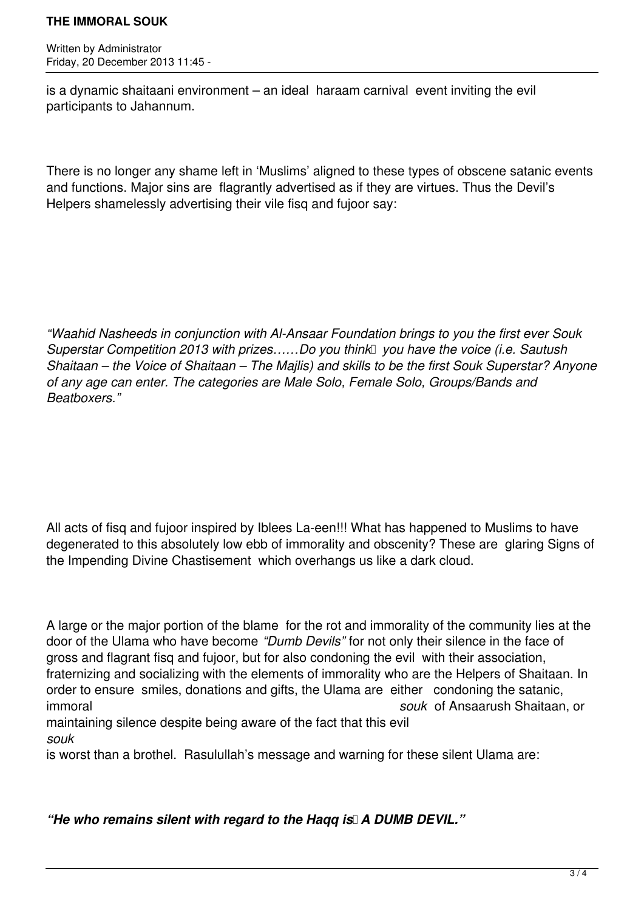## **THE IMMORAL SOUK**

Written by Administrator Friday, 20 December 2013 11:45 -

is a dynamic shaitaani environment – an ideal haraam carnival event inviting the evil participants to Jahannum.

There is no longer any shame left in 'Muslims' aligned to these types of obscene satanic events and functions. Major sins are flagrantly advertised as if they are virtues. Thus the Devil's Helpers shamelessly advertising their vile fisq and fujoor say:

*"Waahid Nasheeds in conjunction with Al-Ansaar Foundation brings to you the first ever Souk Superstar Competition 2013 with prizes.....Do you think you have the voice (i.e. Sautush Shaitaan – the Voice of Shaitaan – The Majlis) and skills to be the first Souk Superstar? Anyone of any age can enter. The categories are Male Solo, Female Solo, Groups/Bands and Beatboxers."*

All acts of fisq and fujoor inspired by Iblees La-een!!! What has happened to Muslims to have degenerated to this absolutely low ebb of immorality and obscenity? These are glaring Signs of the Impending Divine Chastisement which overhangs us like a dark cloud.

A large or the major portion of the blame for the rot and immorality of the community lies at the door of the Ulama who have become *"Dumb Devils"* for not only their silence in the face of gross and flagrant fisq and fujoor, but for also condoning the evil with their association, fraternizing and socializing with the elements of immorality who are the Helpers of Shaitaan. In order to ensure smiles, donations and gifts, the Ulama are either condoning the satanic, immoral *souk* of Ansaarush Shaitaan, or maintaining silence despite being aware of the fact that this evil

*souk* 

is worst than a brothel. Rasulullah's message and warning for these silent Ulama are:

"He who remains silent with regard to the Hagg is A DUMB DEVIL."